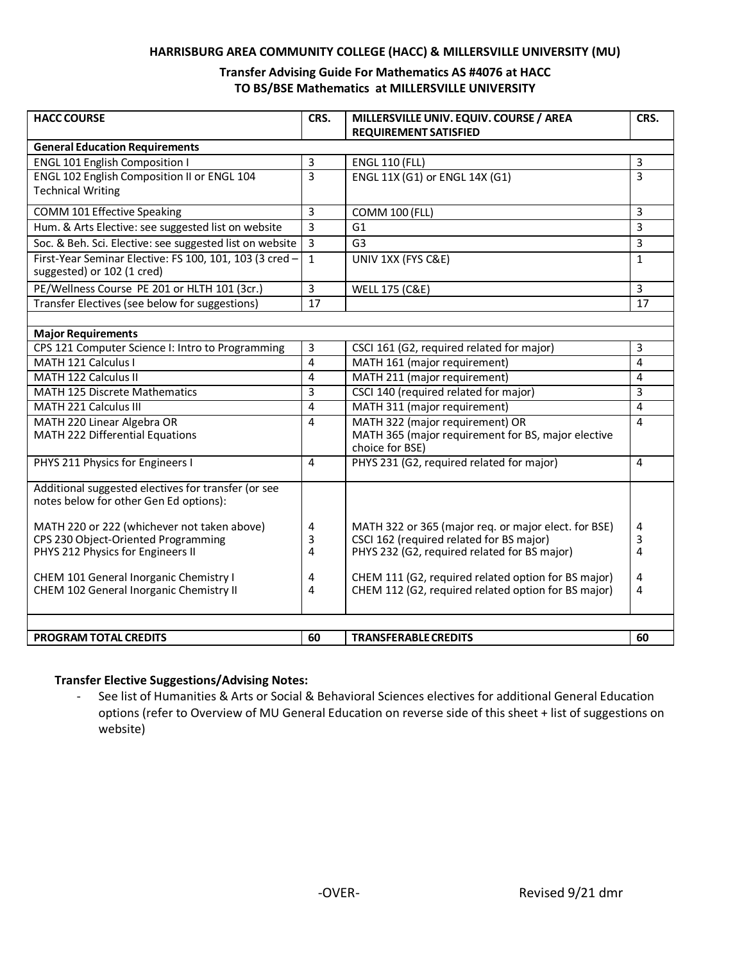#### **HARRISBURG AREA COMMUNITY COLLEGE (HACC) & MILLERSVILLE UNIVERSITY (MU)**

## **Transfer Advising Guide For Mathematics AS #4076 at HACC TO BS/BSE Mathematics at MILLERSVILLE UNIVERSITY**

| <b>HACC COURSE</b>                                                                            | CRS.                | MILLERSVILLE UNIV. EQUIV. COURSE / AREA                                                                  | CRS.                |
|-----------------------------------------------------------------------------------------------|---------------------|----------------------------------------------------------------------------------------------------------|---------------------|
| <b>REQUIREMENT SATISFIED</b>                                                                  |                     |                                                                                                          |                     |
| <b>General Education Requirements</b>                                                         |                     |                                                                                                          |                     |
| <b>ENGL 101 English Composition I</b><br>ENGL 102 English Composition II or ENGL 104          | 3<br>$\overline{3}$ | <b>ENGL 110 (FLL)</b><br>ENGL 11X (G1) or ENGL 14X (G1)                                                  | 3<br>$\overline{3}$ |
| <b>Technical Writing</b>                                                                      |                     |                                                                                                          |                     |
| COMM 101 Effective Speaking                                                                   | 3                   | <b>COMM 100 (FLL)</b>                                                                                    | 3                   |
| Hum. & Arts Elective: see suggested list on website                                           | 3                   | G1                                                                                                       | 3                   |
| Soc. & Beh. Sci. Elective: see suggested list on website                                      | 3                   | G <sub>3</sub>                                                                                           | 3                   |
| First-Year Seminar Elective: FS 100, 101, 103 (3 cred -<br>suggested) or 102 (1 cred)         | $\mathbf{1}$        | UNIV 1XX (FYS C&E)                                                                                       | $\mathbf{1}$        |
| PE/Wellness Course PE 201 or HLTH 101 (3cr.)                                                  | 3                   | <b>WELL 175 (C&amp;E)</b>                                                                                | 3                   |
| Transfer Electives (see below for suggestions)                                                | $\overline{17}$     |                                                                                                          | 17                  |
|                                                                                               |                     |                                                                                                          |                     |
| <b>Major Requirements</b>                                                                     |                     |                                                                                                          |                     |
| CPS 121 Computer Science I: Intro to Programming                                              | 3                   | CSCI 161 (G2, required related for major)                                                                | 3                   |
| <b>MATH 121 Calculus I</b>                                                                    | $\overline{4}$      | MATH 161 (major requirement)                                                                             | 4                   |
| MATH 122 Calculus II                                                                          | 4                   | MATH 211 (major requirement)                                                                             | 4                   |
| <b>MATH 125 Discrete Mathematics</b>                                                          | 3                   | CSCI 140 (required related for major)                                                                    | 3                   |
| MATH 221 Calculus III                                                                         | 4                   | MATH 311 (major requirement)                                                                             | 4                   |
| MATH 220 Linear Algebra OR<br>MATH 222 Differential Equations                                 | 4                   | MATH 322 (major requirement) OR<br>MATH 365 (major requirement for BS, major elective<br>choice for BSE) | 4                   |
| PHYS 211 Physics for Engineers I                                                              | $\overline{4}$      | PHYS 231 (G2, required related for major)                                                                | 4                   |
|                                                                                               |                     |                                                                                                          |                     |
| Additional suggested electives for transfer (or see<br>notes below for other Gen Ed options): |                     |                                                                                                          |                     |
| MATH 220 or 222 (whichever not taken above)                                                   | 4                   | MATH 322 or 365 (major req. or major elect. for BSE)                                                     | 4                   |
| CPS 230 Object-Oriented Programming                                                           | 3                   | CSCI 162 (required related for BS major)                                                                 | 3                   |
| PHYS 212 Physics for Engineers II                                                             | 4                   | PHYS 232 (G2, required related for BS major)                                                             | 4                   |
| CHEM 101 General Inorganic Chemistry I                                                        | 4                   | CHEM 111 (G2, required related option for BS major)                                                      | 4                   |
| CHEM 102 General Inorganic Chemistry II                                                       | 4                   | CHEM 112 (G2, required related option for BS major)                                                      | 4                   |
|                                                                                               |                     |                                                                                                          |                     |
|                                                                                               |                     |                                                                                                          |                     |
| <b>PROGRAM TOTAL CREDITS</b>                                                                  | 60                  | <b>TRANSFERABLE CREDITS</b>                                                                              | 60                  |

#### **Transfer Elective Suggestions/Advising Notes:**

- See list of Humanities & Arts or Social & Behavioral Sciences electives for additional General Education options (refer to Overview of MU General Education on reverse side of this sheet + list of suggestions on website)